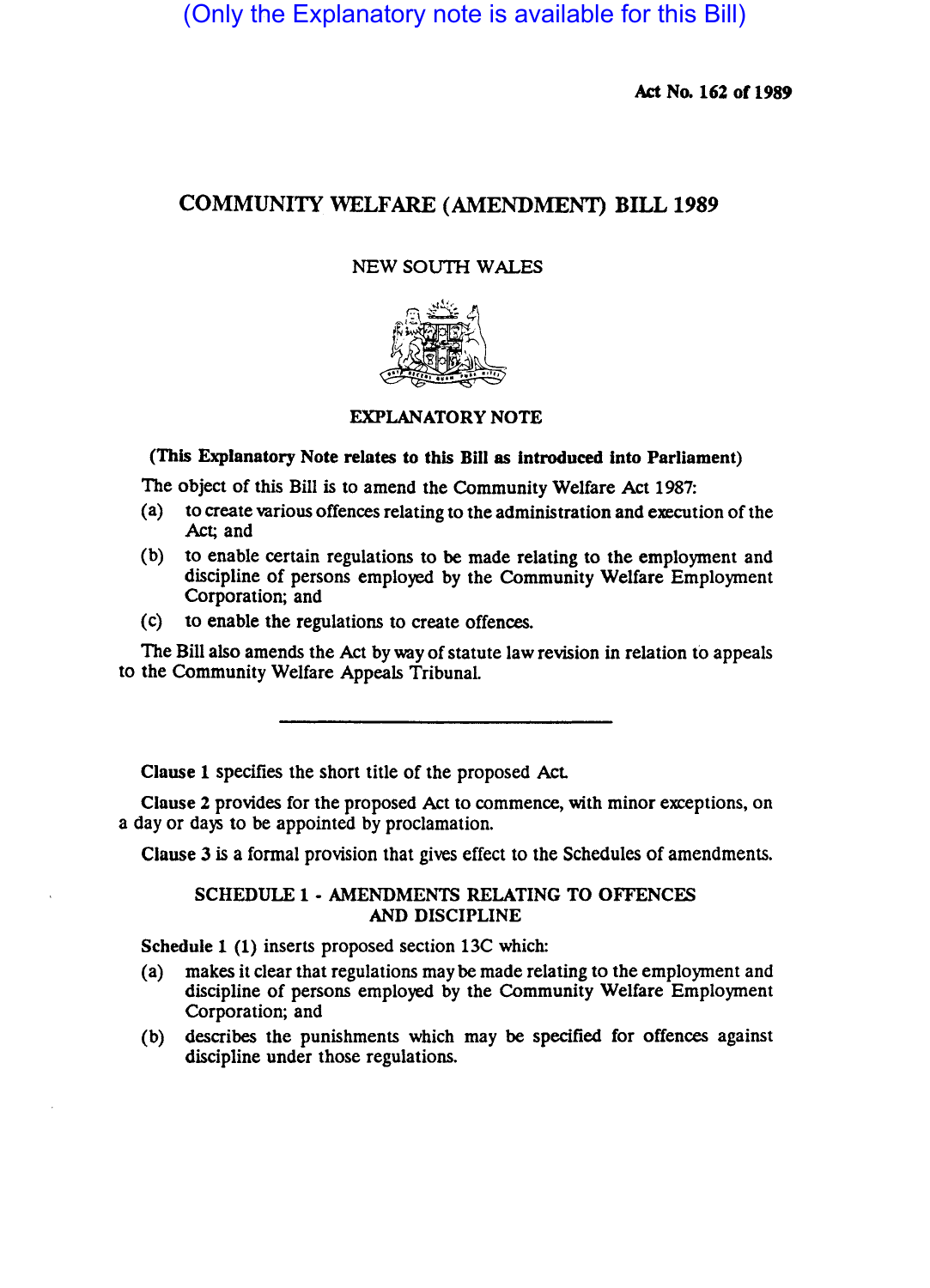(Only the Explanatory note is available for this Bill)

Act No. 162 of 1989

## COMMUNITY WELFARE (AMENDMENT) BILL 1989

## NEW SOUTH WALES



## EXPLANATORY NOTE

(This Explanatory Note relates to this BlII as Introduced Into Parliament)

The Object of this Bill is to amend the Community Welfare Act 1987:

- (a) to create various offences relating to the administration and execution of the Act; and
- (b) to enable certain regulations to be made relating to the employment and discipline of persons employed by the Community Welfare Employment Corporation; and
- (c) to enable the regulations to create offences.

The Bill also amends the Act by way of statute law revision in relation to appeals to the Community Welfare Appeals Tribunal.

Clause 1 specifies the short title of the proposed Act

Clause 2 provides for the proposed Act to commence, with minor exceptions, on a day or days to be appointed by proclamation.

Clause 3 is a formal provision that gives effect to the Schedules of amendments.

SCHEDULE 1 • AMENDMENTS RELATING TO OFFENCES AND DISCIPLINE

Schedule 1 (1) inserts proposed section 13C which:

- (a) makes it clear that regulations maybe made relating to the employment and discipline of persons employed by the Community Welfare Employment Corporation; and
- (b) describes the punishments which may be specified for offences against discipline under those regulations.